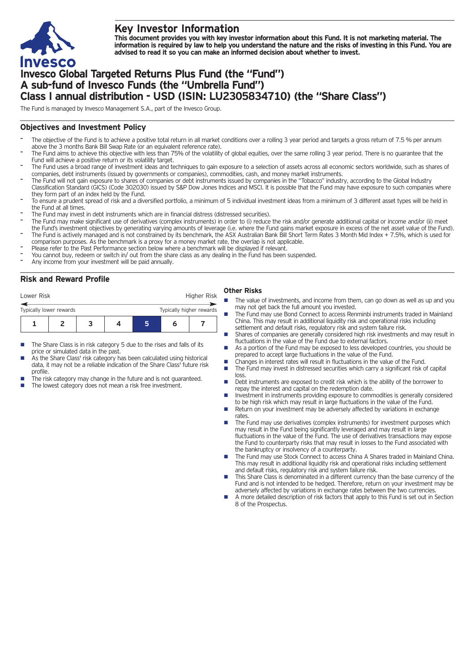

# **Key Investor Information**

This document provides you with key investor information about this Fund. It is not marketing material. The information is required by law to help you understand the nature and the risks of investing in this Fund. You are **advised to read it so you can make an informed decision about whether to invest.**

# **Invesco Global Targeted Returns Plus Fund (the "Fund") A sub-fund of Invesco Funds (the "Umbrella Fund") Class I annual distribution - USD (ISIN: LU2305834710) (the "Share Class")**

The Fund is managed by Invesco Management S.A., part of the Invesco Group.

## **Objectives and Investment Policy**

- The objective of the Fund is to achieve a positive total return in all market conditions over a rolling 3 year period and targets a gross return of 7.5 % per annum above the 3 months Bank Bill Swap Rate (or an equivalent reference rate).
- The Fund aims to achieve this objective with less than 75% of the volatility of global equities, over the same rolling 3 year period. There is no guarantee that the Fund will achieve a positive return or its volatility target.
- The Fund uses a broad range of investment ideas and techniques to gain exposure to a selection of assets across all economic sectors worldwide, such as shares of companies, debt instruments (issued by governments or companies), commodities, cash, and money market instruments.
- The Fund will not gain exposure to shares of companies or debt instruments issued by companies in the "Tobacco" industry, according to the Global Industry Classification Standard (GICS) (Code 302030) issued by S&P Dow Jones Indices and MSCI. It is possible that the Fund may have exposure to such companies where they form part of an index held by the Fund.
- To ensure a prudent spread of risk and a diversified portfolio, a minimum of 5 individual investment ideas from a minimum of 3 different asset types will be held in the Fund at all times.
- The Fund may invest in debt instruments which are in financial distress (distressed securities).
- The Fund may make significant use of derivatives (complex instruments) in order to (i) reduce the risk and/or generate additional capital or income and/or (ii) meet the Fund's investment objectives by generating varying amounts of leverage (i.e. where the Fund gains market exposure in excess of the net asset value of the Fund).
- The Fund is actively managed and is not constrained by its benchmark, the ASX Australian Bank Bill Short Term Rates 3 Month Mid Index + 7.5%, which is used for comparison purposes. As the benchmark is a proxy for a money market rate, the overlap is not applicable.
- Please refer to the Past Performance section below where a benchmark will be displayed if relevant.
- You cannot buy, redeem or switch in/ out from the share class as any dealing in the Fund has been suspended.
- Any income from your investment will be paid annually.

## **Risk and Reward Profile**

| Lower Risk                                          |  |  | Higher Risk |  |   |  |
|-----------------------------------------------------|--|--|-------------|--|---|--|
| Typically higher rewards<br>Typically lower rewards |  |  |             |  |   |  |
|                                                     |  |  |             |  | n |  |
|                                                     |  |  |             |  |   |  |

- The Share Class is in risk category 5 due to the rises and falls of its price or simulated data in the past.
- As the Share Class' risk category has been calculated using historical data, it may not be a reliable indication of the Share Class' future risk profile.
- The risk category may change in the future and is not guaranteed.
- The lowest category does not mean a risk free investment.

#### **Other Risks**

- The value of investments, and income from them, can go down as well as up and you may not get back the full amount you invested.
- n The Fund may use Bond Connect to access Renminbi instruments traded in Mainland China. This may result in additional liquidity risk and operational risks including settlement and default risks, regulatory risk and system failure risk.
- Shares of companies are generally considered high risk investments and may result in fluctuations in the value of the Fund due to external factors.
- As a portion of the Fund may be exposed to less developed countries, you should be prepared to accept large fluctuations in the value of the Fund.
- Changes in interest rates will result in fluctuations in the value of the Fund.
- The Fund may invest in distressed securities which carry a significant risk of capital loss.
- Debt instruments are exposed to credit risk which is the ability of the borrower to repay the interest and capital on the redemption date.
- **n** Investment in instruments providing exposure to commodities is generally considered to be high risk which may result in large fluctuations in the value of the Fund.
- Return on your investment may be adversely affected by variations in exchange rates
- The Fund may use derivatives (complex instruments) for investment purposes which may result in the Fund being significantly leveraged and may result in large fluctuations in the value of the Fund. The use of derivatives transactions may expose the Fund to counterparty risks that may result in losses to the Fund associated with the bankruptcy or insolvency of a counterparty.
- The Fund may use Stock Connect to access China A Shares traded in Mainland China. This may result in additional liquidity risk and operational risks including settlement and default risks, regulatory risk and system failure risk.
- This Share Class is denominated in a different currency than the base currency of the Fund and is not intended to be hedged. Therefore, return on your investment may be adversely affected by variations in exchange rates between the two currencies.
- n A more detailed description of risk factors that apply to this Fund is set out in Section 8 of the Prospectus.